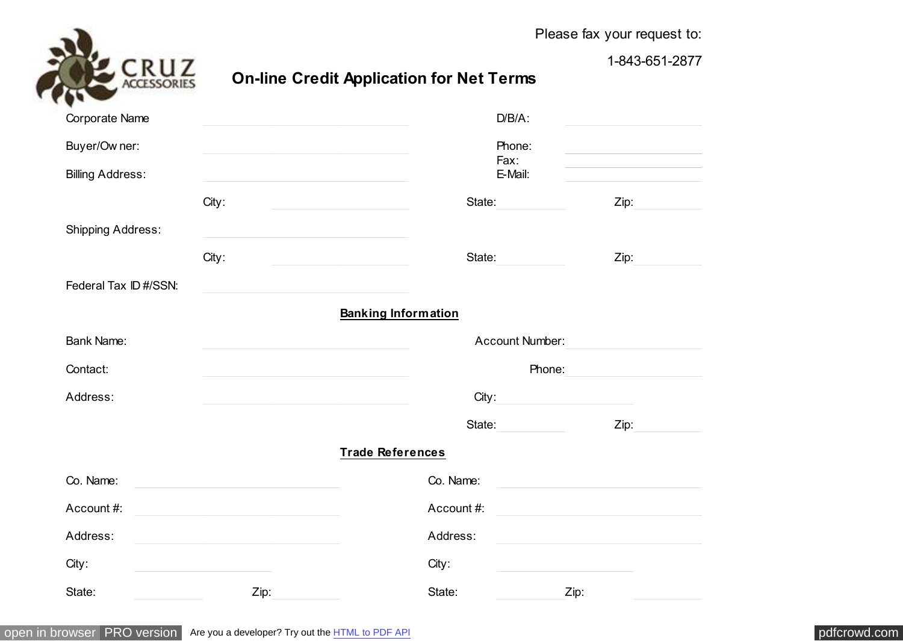

Please fax your request to:

1-843-651-2877

## **On-line Credit Application for Net Terms**

| ▾<br>$\sim$              |       |                            |        |  |  |
|--------------------------|-------|----------------------------|--------|--|--|
| Corporate Name           |       | $D/B/A$ :                  |        |  |  |
| Buyer/Ow ner:            |       | Phone:<br>Fax:             |        |  |  |
| <b>Billing Address:</b>  |       | E-Mail:                    |        |  |  |
|                          | City: | State:                     | Zip:   |  |  |
| <b>Shipping Address:</b> |       |                            |        |  |  |
|                          | City: | State:                     | Zip:   |  |  |
| Federal Tax ID #/SSN:    |       |                            |        |  |  |
|                          |       | <b>Banking Information</b> |        |  |  |
| <b>Bank Name:</b>        |       | <b>Account Number:</b>     |        |  |  |
| Contact:                 |       |                            | Phone: |  |  |
| Address:                 |       | City:                      |        |  |  |
|                          |       | State:                     | Zip:   |  |  |
|                          |       | <b>Trade References</b>    |        |  |  |
| Co. Name:                |       | Co. Name:                  |        |  |  |
| Account #:               |       | Account #:                 |        |  |  |
| Address:                 |       | Address:                   |        |  |  |
| City:                    |       | City:                      |        |  |  |
| State:                   | Zip:  | State:                     | Zip:   |  |  |